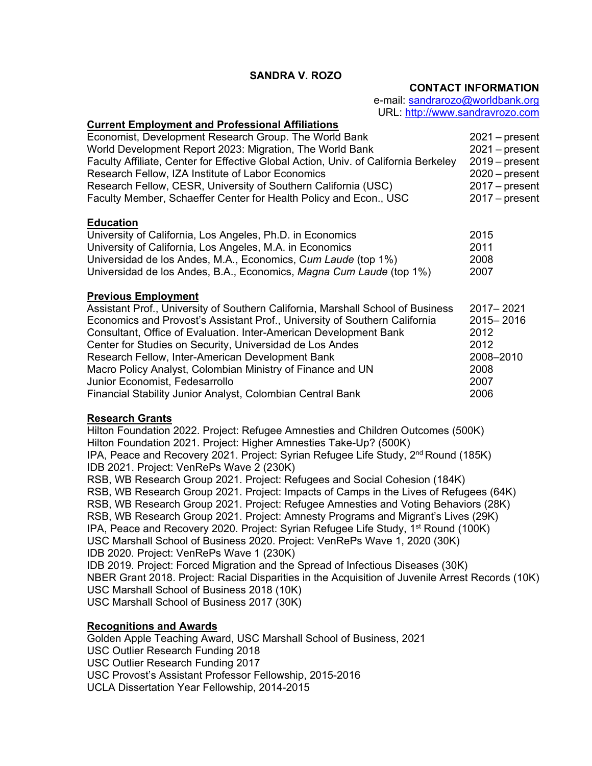# **SANDRA V. ROZO**

#### **CONTACT INFORMATION**

e-mail: [sandrarozo@worldbank.org](mailto:sandrarozo@worldbank.org) URL: http://www.sandravrozo.com

# **Current Employment and Professional Affiliations** Economist, Development Research Group. The World Bank 2021 – present World Development Report 2023: Migration, The World Bank 2021 – present Faculty Affiliate, Center for Effective Global Action, Univ. of California Berkeley 2019 – present Research Fellow, IZA Institute of Labor Economics 2020 – present Research Fellow, CESR, University of Southern California (USC) 2017 – present<br>Faculty Member, Schaeffer Center for Health Policy and Econ., USC 2017 – present Faculty Member, Schaeffer Center for Health Policy and Econ., USC **Education** University of California, Los Angeles, Ph.D. in Economics 2015 University of California, Los Angeles, M.A. in Economics 2011 Universidad de los Andes, M.A., Economics, C*um Laude* (top 1%) 2008 Universidad de los Andes, B.A., Economics, *Magna Cum Laude* (top 1%) 2007 **Previous Employment** Assistant Prof., University of Southern California, Marshall School of Business 2017– 2021 Economics and Provost's Assistant Prof., University of Southern California 2015– 2016 Consultant, Office of Evaluation. Inter-American Development Bank 2012 Center for Studies on Security, Universidad de Los Andes 2012 Research Fellow, Inter-American Development Bank 2008-2010 Macro Policy Analyst, Colombian Ministry of Finance and UN 2008 Junior Economist, Fedesarrollo 2007 Financial Stability Junior Analyst, Colombian Central Bank 2006 **Research Grants** Hilton Foundation 2022. Project: Refugee Amnesties and Children Outcomes (500K) Hilton Foundation 2021. Project: Higher Amnesties Take-Up? (500K)

IPA, Peace and Recovery 2021. Project: Syrian Refugee Life Study, 2<sup>nd</sup> Round (185K) IDB 2021. Project: VenRePs Wave 2 (230K) RSB, WB Research Group 2021. Project: Refugees and Social Cohesion (184K) RSB, WB Research Group 2021. Project: Impacts of Camps in the Lives of Refugees (64K) RSB, WB Research Group 2021. Project: Refugee Amnesties and Voting Behaviors (28K) RSB, WB Research Group 2021. Project: Amnesty Programs and Migrant's Lives (29K) IPA, Peace and Recovery 2020. Project: Syrian Refugee Life Study, 1st Round (100K) USC Marshall School of Business 2020. Project: VenRePs Wave 1, 2020 (30K) IDB 2020. Project: VenRePs Wave 1 (230K) IDB 2019. Project: Forced Migration and the Spread of Infectious Diseases (30K) NBER Grant 2018. Project: Racial Disparities in the Acquisition of Juvenile Arrest Records (10K) USC Marshall School of Business 2018 (10K) USC Marshall School of Business 2017 (30K)

# **Recognitions and Awards**

Golden Apple Teaching Award, USC Marshall School of Business, 2021 USC Outlier Research Funding 2018 USC Outlier Research Funding 2017 USC Provost's Assistant Professor Fellowship, 2015-2016 UCLA Dissertation Year Fellowship, 2014-2015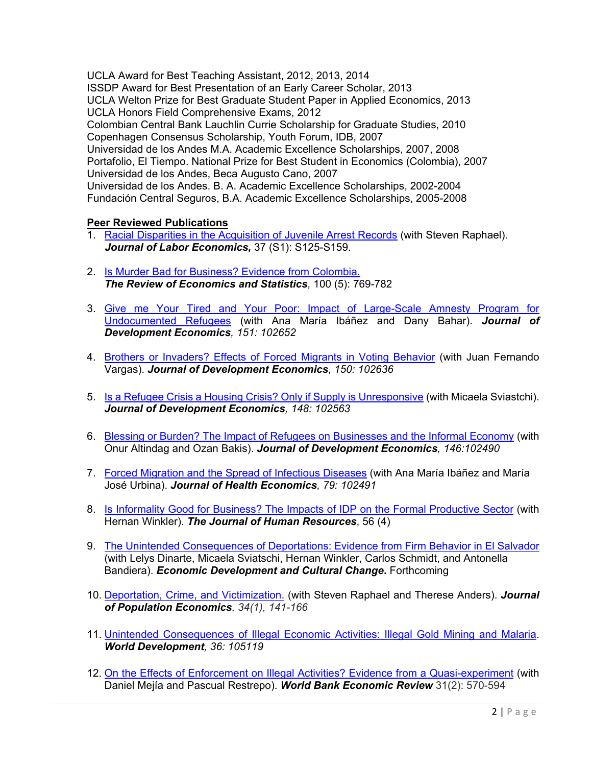UCLA Award for Best Teaching Assistant, 2012, 2013, 2014

ISSDP Award for Best Presentation of an Early Career Scholar, 2013

UCLA Welton Prize for Best Graduate Student Paper in Applied Economics, 2013 UCLA Honors Field Comprehensive Exams, 2012

Colombian Central Bank Lauchlin Currie Scholarship for Graduate Studies, 2010 Copenhagen Consensus Scholarship, Youth Forum, IDB, 2007

Universidad de los Andes M.A. Academic Excellence Scholarships, 2007, 2008 Portafolio, El Tiempo. National Prize for Best Student in Economics (Colombia), 2007 Universidad de los Andes, Beca Augusto Cano, 2007

Universidad de los Andes. B. A. Academic Excellence Scholarships, 2002-2004 Fundación Central Seguros, B.A. Academic Excellence Scholarships, 2005-2008

# **Peer Reviewed Publications**

- 1. [Racial Disparities in the Acquisition of Juvenile Arrest Records](https://www.journals.uchicago.edu/doi/full/10.1086/701068) (with Steven Raphael). *Journal of Labor Economics,* 37 (S1): S125-S159.
- 2. [Is Murder Bad for Business? Evidence from Colombia.](https://direct.mit.edu/rest/article-abstract/100/5/769/58483/Is-Murder-Bad-for-Business-Evidence-from-Colombia?redirectedFrom=fulltext)  *The Review of Economics and Statistics,* 100 (5): 769-782
- 3. [Give me Your Tired and Your Poor: Impact of Large-Scale Amnesty Program for](https://www.sciencedirect.com/science/article/pii/S0304387821000316)  [Undocumented Refugees](https://www.sciencedirect.com/science/article/pii/S0304387821000316) (with Ana María Ibáñez and Dany Bahar). *Journal of Development Economics, 151: 102652*
- 4. [Brothers or Invaders? Effects of Forced Migrants in Voting Behavior](https://www.sciencedirect.com/science/article/abs/pii/S0304387821000158) (with Juan Fernando Vargas). *Journal of Development Economics, 150: 102636*
- 5. [Is a Refugee Crisis a Housing Crisis? Only if Supply is Unresponsive](https://www.sciencedirect.com/science/article/abs/pii/S0304387820301383) (with Micaela Sviastchi). *Journal of Development Economics, 148: 102563*
- 6. [Blessing or Burden? The Impact of Refugees on Businesses and the Informal Economy](https://www.sciencedirect.com/science/article/abs/pii/S0304387820300651?via%3Dihub) (with Onur Altindag and Ozan Bakis). *Journal of Development Economics, 146:102490*
- 7. [Forced Migration and the Spread of Infectious Diseases](https://www.sciencedirect.com/science/article/abs/pii/S016762962100076X?via%3Dihub) (with Ana María Ibáñez and María José Urbina). *Journal of Health Economics, 79: 102491*
- 8. [Is Informality Good for Business? The Impacts of IDP on the Formal Productive Sector](http://jhr.uwpress.org/content/early/2019/10/07/jhr.56.4.1018-9794R2.abstract) (with Hernan Winkler). *The Journal of Human Resources*, 56 (4)
- 9. [The Unintended Consequences of Deportations: Evidence from Firm Behavior in El Salvador](https://www.sandravrozo.com/uploads/2/9/3/0/29306259/paper_revision_2021.pdf) (with Lelys Dinarte, Micaela Sviatschi, Hernan Winkler, Carlos Schmidt, and Antonella Bandiera). *Economic Development and Cultural Change***.** Forthcoming
- 10. [Deportation, Crime, and Victimization.](https://link.springer.com/article/10.1007/s00148-020-00785-3?wt_mc=Internal.Event.1.SEM.ArticleAuthorOnlineFirst) (with Steven Raphael and Therese Anders). *Journal of Population Economics, 34(1), 141-166*
- 11. [Unintended Consequences of Illegal Economic Activities:](https://www.sciencedirect.com/science/article/abs/pii/S0305750X20302461) Illegal Gold Mining and Malaria. *World Development, 36: 105119*
- 12. [On the Effects of Enforcement on Illegal Activities? Evidence from a Quasi-experiment](https://academic.oup.com/wber/article-abstract/31/2/570/2897781?redirectedFrom=fulltext&login=false) (with Daniel Mejía and Pascual Restrepo). *World Bank Economic Review* 31(2): 570-594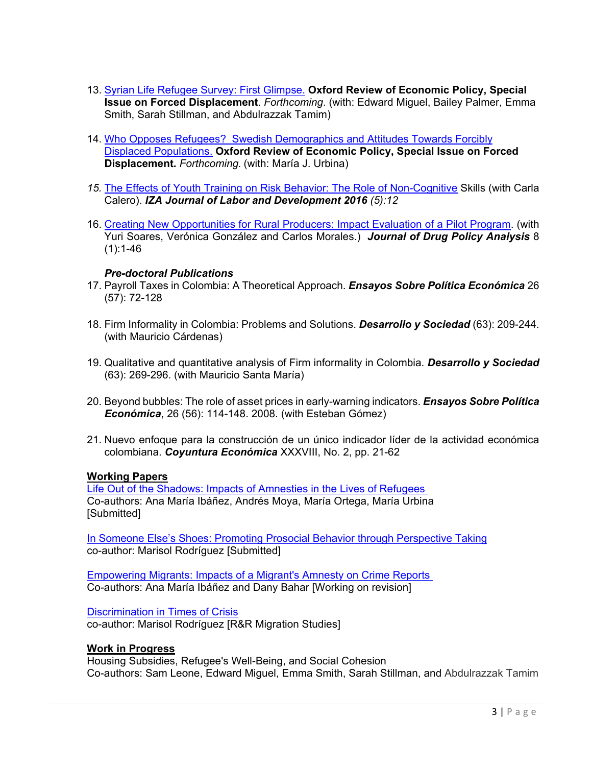- 13. [Syrian Life Refugee Survey: First Glimpse.](https://documents.worldbank.org/en/publication/documents-reports/documentdetail/668611645027887588/the-syrian-refugee-life-study-first-glance) **Oxford Review of Economic Policy, Special Issue on Forced Displacement**. *Forthcoming*. (with: Edward Miguel, Bailey Palmer, Emma Smith, Sarah Stillman, and Abdulrazzak Tamim)
- 14. [Who Opposes Refugees? Swedish Demographics and Attitudes Towards Forcibly](https://www.sandravrozo.com/uploads/2/9/3/0/29306259/final_oxrep.pdf)  [Displaced Populations.](https://www.sandravrozo.com/uploads/2/9/3/0/29306259/final_oxrep.pdf) **Oxford Review of Economic Policy, Special Issue on Forced Displacement.** *Forthcoming.* (with: María J. Urbina)
- *15.* [The Effects of Youth Training on Risk Behavior: The Role of Non-Cognitive](https://izajold.springeropen.com/articles/10.1186/s40175-016-0058-6) Skills (with Carla Calero). *IZA Journal of Labor and Development 2016 (5):12*
- 16. [Creating New Opportunities for Rural Producers: Impact Evaluation of a Pilot Program.](https://www.degruyter.com/document/doi/10.1515/jdpa-2014-0003/html) (with Yuri Soares, Verónica González and Carlos Morales.) *Journal of Drug Policy Analysis* 8  $(1):1-46$

#### *Pre-doctoral Publications*

- 17. Payroll Taxes in Colombia: A Theoretical Approach. *Ensayos Sobre Política Económica* 26 (57): 72-128
- 18. Firm Informality in Colombia: Problems and Solutions. *Desarrollo y Sociedad* (63): 209-244. (with Mauricio Cárdenas)
- 19. Qualitative and quantitative analysis of Firm informality in Colombia. *Desarrollo y Sociedad* (63): 269-296. (with Mauricio Santa María)
- 20. Beyond bubbles: The role of asset prices in early-warning indicators. *Ensayos Sobre Política Económica*, 26 (56): 114-148. 2008. (with Esteban Gómez)
- 21. Nuevo enfoque para la construcción de un único indicador líder de la actividad económica colombiana. *Coyuntura Económica* XXXVIII, No. 2, pp. 21-62

#### **Working Papers**

[Life Out of the Shadows: Impacts of Amnesties in the Lives of Refugees](https://documents.worldbank.org/en/publication/documents-reports/documentdetail/972051644257549046/life-out-of-the-shadows-impacts-of-amnesties-in-the-lives-of-refugees) Co-authors: Ana María Ibáñez, Andrés Moya, María Ortega, María Urbina [Submitted]

[In Someone Else's Shoes: Promoting Prosocial Behavior through Perspective Taking](https://www.sandravrozo.com/uploads/2/9/3/0/29306259/eoz_r_r_2021.pdf) co-author: Marisol Rodríguez [Submitted]

Empowering Migrants: [Impacts of a Migrant's Amnesty on Crime Reports](https://documents.worldbank.org/en/publication/documents-reports/documentdetail/808711635942502374/empowering-migrants-impacts-of-a-migrant-s-amnesty-on-crime-reports) Co-authors: Ana María Ibáñez and Dany Bahar [Working on revision]

[Discrimination in Times](https://docs.iza.org/dp14319.pdf) of Crisis co-author: Marisol Rodríguez [R&R Migration Studies]

#### **Work in Progress**

Housing Subsidies, Refugee's Well-Being, and Social Cohesion Co-authors: Sam Leone, Edward Miguel, Emma Smith, Sarah Stillman, and Abdulrazzak Tamim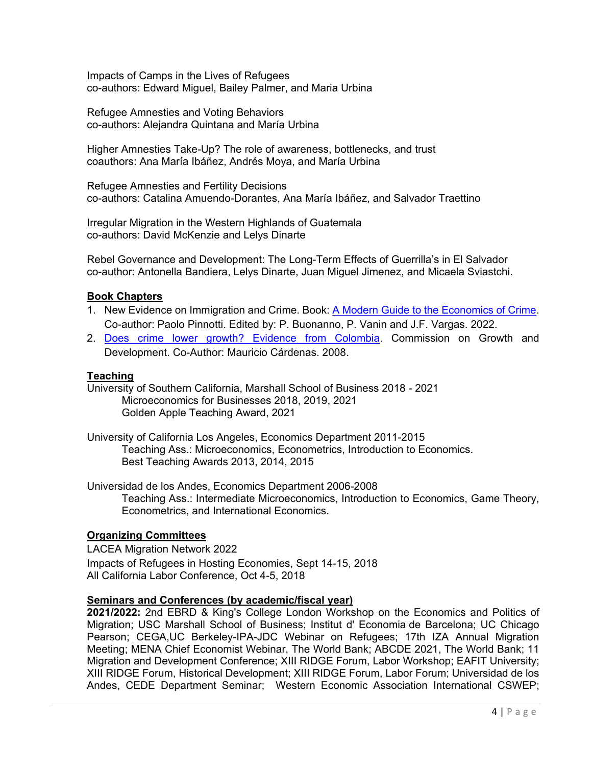Impacts of Camps in the Lives of Refugees co-authors: Edward Miguel, Bailey Palmer, and Maria Urbina

Refugee Amnesties and Voting Behaviors co-authors: Alejandra Quintana and María Urbina

Higher Amnesties Take-Up? The role of awareness, bottlenecks, and trust coauthors: Ana María Ibáñez, Andrés Moya, and María Urbina

Refugee Amnesties and Fertility Decisions co-authors: Catalina Amuendo-Dorantes, Ana María Ibáñez, and Salvador Traettino

Irregular Migration in the Western Highlands of Guatemala co-authors: David McKenzie and Lelys Dinarte

Rebel Governance and Development: The Long-Term Effects of Guerrilla's in El Salvador co-author: Antonella Bandiera, Lelys Dinarte, Juan Miguel Jimenez, and Micaela Sviastchi.

#### **Book Chapters**

- 1. New Evidence on Immigration and Crime. Book: [A Modern Guide to the Economics of Crime.](https://www.e-elgar.com/shop/gbp/a-modern-guide-to-the-economics-of-crime-9781789909326.html) Co-author: Paolo Pinnotti. Edited by: P. Buonanno, P. Vanin and J.F. Vargas. 2022.
- 2. [Does crime lower growth? Evidence from Colombia.](https://openknowledge.worldbank.org/handle/10986/28005) Commission on Growth and Development. Co-Author: Mauricio Cárdenas. 2008.

#### **Teaching**

University of Southern California, Marshall School of Business 2018 - 2021 Microeconomics for Businesses 2018, 2019, 2021 Golden Apple Teaching Award, 2021

University of California Los Angeles, Economics Department 2011-2015 Teaching Ass.: Microeconomics, Econometrics, Introduction to Economics. Best Teaching Awards 2013, 2014, 2015

Universidad de los Andes, Economics Department 2006-2008 Teaching Ass.: Intermediate Microeconomics, Introduction to Economics, Game Theory, Econometrics, and International Economics.

#### **Organizing Committees**

LACEA Migration Network 2022 Impacts of Refugees in Hosting Economies, Sept 14-15, 2018 All California Labor Conference, Oct 4-5, 2018

#### **Seminars and Conferences (by academic/fiscal year)**

**2021/2022:** 2nd EBRD & King's College London Workshop on the Economics and Politics of Migration; USC Marshall School of Business; Institut d' Economia de Barcelona; UC Chicago Pearson; CEGA,UC Berkeley-IPA-JDC Webinar on Refugees; 17th IZA Annual Migration Meeting; MENA Chief Economist Webinar, The World Bank; ABCDE 2021, The World Bank; 11 Migration and Development Conference; XIII RIDGE Forum, Labor Workshop; EAFIT University; XIII RIDGE Forum, Historical Development; XIII RIDGE Forum, Labor Forum; Universidad de los Andes, CEDE Department Seminar; Western Economic Association International CSWEP;